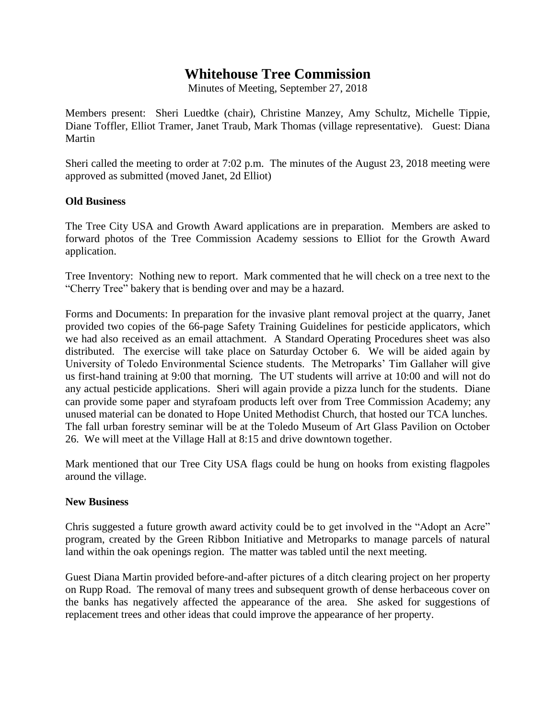## **Whitehouse Tree Commission**

Minutes of Meeting, September 27, 2018

Members present: Sheri Luedtke (chair), Christine Manzey, Amy Schultz, Michelle Tippie, Diane Toffler, Elliot Tramer, Janet Traub, Mark Thomas (village representative). Guest: Diana Martin

Sheri called the meeting to order at 7:02 p.m. The minutes of the August 23, 2018 meeting were approved as submitted (moved Janet, 2d Elliot)

## **Old Business**

The Tree City USA and Growth Award applications are in preparation. Members are asked to forward photos of the Tree Commission Academy sessions to Elliot for the Growth Award application.

Tree Inventory: Nothing new to report. Mark commented that he will check on a tree next to the "Cherry Tree" bakery that is bending over and may be a hazard.

Forms and Documents: In preparation for the invasive plant removal project at the quarry, Janet provided two copies of the 66-page Safety Training Guidelines for pesticide applicators, which we had also received as an email attachment. A Standard Operating Procedures sheet was also distributed. The exercise will take place on Saturday October 6. We will be aided again by University of Toledo Environmental Science students. The Metroparks' Tim Gallaher will give us first-hand training at 9:00 that morning. The UT students will arrive at 10:00 and will not do any actual pesticide applications. Sheri will again provide a pizza lunch for the students. Diane can provide some paper and styrafoam products left over from Tree Commission Academy; any unused material can be donated to Hope United Methodist Church, that hosted our TCA lunches. The fall urban forestry seminar will be at the Toledo Museum of Art Glass Pavilion on October 26. We will meet at the Village Hall at 8:15 and drive downtown together.

Mark mentioned that our Tree City USA flags could be hung on hooks from existing flagpoles around the village.

## **New Business**

Chris suggested a future growth award activity could be to get involved in the "Adopt an Acre" program, created by the Green Ribbon Initiative and Metroparks to manage parcels of natural land within the oak openings region. The matter was tabled until the next meeting.

Guest Diana Martin provided before-and-after pictures of a ditch clearing project on her property on Rupp Road. The removal of many trees and subsequent growth of dense herbaceous cover on the banks has negatively affected the appearance of the area. She asked for suggestions of replacement trees and other ideas that could improve the appearance of her property.